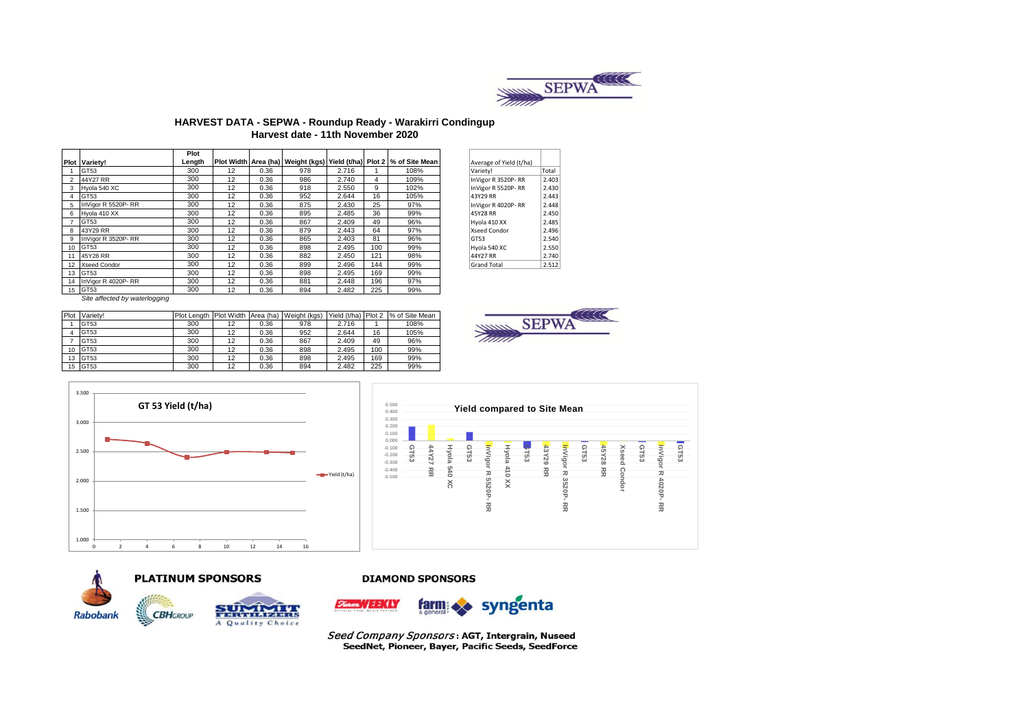

### **HARVEST DATA - SEPWA - Roundup Ready - Warakirri Condingup Harvest date - 11th November 2020**

|    |                      | Plot   |    |      |     |       |     |                                                                              |                         |       |
|----|----------------------|--------|----|------|-----|-------|-----|------------------------------------------------------------------------------|-------------------------|-------|
|    | <b>Plot Varietv!</b> | Length |    |      |     |       |     | Plot Width Area (ha)   Weight (kgs)   Yield (t/ha)   Plot 2   % of Site Mean | Average of Yield (t/ha) |       |
|    | GT53                 | 300    | 12 | 0.36 | 978 | 2.716 |     | 108%                                                                         | Variety!                | Total |
|    | 44Y27 RR             | 300    | 12 | 0.36 | 986 | 2.740 | 4   | 109%                                                                         | InVigor R 3520P-RR      | 2.403 |
| 3  | Hyola 540 XC         | 300    | 12 | 0.36 | 918 | 2.550 | 9   | 102%                                                                         | InVigor R 5520P-RR      | 2.430 |
| 4  | GT53                 | 300    | 12 | 0.36 | 952 | 2.644 | 16  | 105%                                                                         | 43Y29 RR                | 2.443 |
| 5  | InVigor R 5520P-RR   | 300    | 12 | 0.36 | 875 | 2.430 | 25  | 97%                                                                          | InVigor R 4020P-RR      | 2.448 |
| 6  | Hyola 410 XX         | 300    | 12 | 0.36 | 895 | 2.485 | 36  | 99%                                                                          | 45Y28 RR                | 2.450 |
|    | GT53                 | 300    | 12 | 0.36 | 867 | 2.409 | 49  | 96%                                                                          | Hyola 410 XX            | 2.485 |
| 8  | 43Y29 RR             | 300    | 12 | 0.36 | 879 | 2.443 | 64  | 97%                                                                          | Xseed Condor            | 2.496 |
| 9  | InVigor R 3520P-RR   | 300    | 12 | 0.36 | 865 | 2.403 | 81  | 96%                                                                          | GT53                    | 2.540 |
| 10 | GT53                 | 300    | 12 | 0.36 | 898 | 2.495 | 100 | 99%                                                                          | Hyola 540 XC            | 2.550 |
| 11 | 45Y28 RR             | 300    | 12 | 0.36 | 882 | 2.450 | 121 | 98%                                                                          | 44Y27 RR                | 2.740 |
| 12 | <b>Xseed Condor</b>  | 300    | 12 | 0.36 | 899 | 2.496 | 144 | 99%                                                                          | <b>Grand Total</b>      | 2.512 |
| 13 | GT53                 | 300    | 12 | 0.36 | 898 | 2.495 | 169 | 99%                                                                          |                         |       |
| 14 | InVigor R 4020P-RR   | 300    | 12 | 0.36 | 881 | 2.448 | 196 | 97%                                                                          |                         |       |
|    | 15 GT53              | 300    | 12 | 0.36 | 894 | 2.482 | 225 | 99%                                                                          |                         |       |

| Average of Yield (t/ha) |       |
|-------------------------|-------|
| Variety!                | Total |
| InVigor R 3520P-RR      | 2.403 |
| InVigor R 5520P-RR      | 2.430 |
| 43Y29 RR                | 2.443 |
| InVigor R 4020P-RR      | 2.448 |
| 45Y28 RR                | 2.450 |
| Hyola 410 XX            | 2.485 |
| Xseed Condor            | 2.496 |
| GT53                    | 2.540 |
| Hyola 540 XC            | 2.550 |
| 44Y27 RR                | 2.740 |
| <b>Grand Total</b>      | 2.512 |
|                         |       |

*Site affected by waterlogging*

| Plot | Variety! | <b>Plot Length</b> |    |      | Plot Width Area (ha) Weight (kgs) | Yield (t/ha) Plot 2 |     | % of Site Mean |
|------|----------|--------------------|----|------|-----------------------------------|---------------------|-----|----------------|
|      | GT53     | 300                | 12 | 0.36 | 978                               | 2.716               |     | 108%           |
|      | GT53     | 300                | 12 | 0.36 | 952                               | 2.644               | 16  | 105%           |
|      | GT53     | 300                | 12 | 0.36 | 867                               | 2.409               | 49  | 96%            |
| 10   | GT53     | 300                | 12 | 0.36 | 898                               | 2.495               | 100 | 99%            |
| 13   | GT53     | 300                | 12 | 0.36 | 898                               | 2.495               | 169 | 99%            |
| 15   | GT53     | 300                | 12 | 0.36 | 894                               | 2.482               | 225 | 99%            |











A Quality Choice

## **DIAMOND SPONSORS**



Seed Company Sponsors: AGT, Intergrain, Nuseed SeedNet, Pioneer, Bayer, Pacific Seeds, SeedForce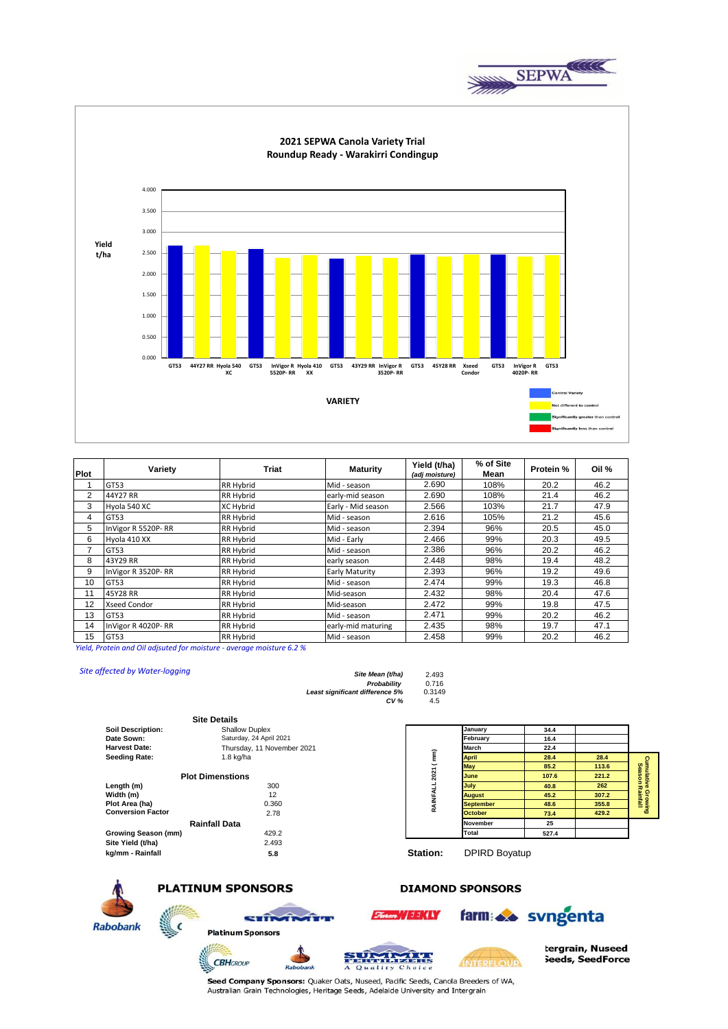

**2021 SEPWA Canola Variety Trial Roundup Ready - Warakirri Condingup** 4.000 3.500 3.000 **Yield**  2.500 **t/ha** 2.000 1.500 1.000 0.500 0.000 **GT53 44Y27 RR Hyola 540 GT53 45Y28 RR Xseed GT53 GT53 InVigor R 5520P- RR Hyola 410 XX GT53 43Y29 RR InVigor R 3520P- RR GT53 InVigor R 4020P- RR XC Condor** trol Variaty **VARIETY** the orgater than or y less than control

| <b>Plot</b> | Variety            | <b>Triat</b>     | <b>Maturity</b>    | Yield (t/ha)<br>(adj moisture) | % of Site<br>Mean | <b>Protein %</b> | Oil % |
|-------------|--------------------|------------------|--------------------|--------------------------------|-------------------|------------------|-------|
|             | GT53               | <b>RR Hybrid</b> | Mid - season       | 2.690                          | 108%              | 20.2             | 46.2  |
| 2           | 44Y27 RR           | RR Hybrid        | early-mid season   | 2.690                          | 108%              | 21.4             | 46.2  |
| 3           | Hyola 540 XC       | <b>XC Hybrid</b> | Early - Mid season | 2.566                          | 103%              | 21.7             | 47.9  |
| 4           | GT53               | RR Hybrid        | Mid - season       | 2.616                          | 105%              | 21.2             | 45.6  |
| 5           | InVigor R 5520P-RR | RR Hybrid        | Mid - season       | 2.394                          | 96%               | 20.5             | 45.0  |
| 6           | Hyola 410 XX       | RR Hybrid        | Mid - Early        | 2.466                          | 99%               | 20.3             | 49.5  |
|             | GT53               | <b>RR Hybrid</b> | Mid - season       | 2.386                          | 96%               | 20.2             | 46.2  |
| 8           | 43Y29 RR           | RR Hybrid        | early season       | 2.448                          | 98%               | 19.4             | 48.2  |
| 9           | InVigor R 3520P-RR | RR Hybrid        | Early Maturity     | 2.393                          | 96%               | 19.2             | 49.6  |
| 10          | GT53               | RR Hybrid        | Mid - season       | 2.474                          | 99%               | 19.3             | 46.8  |
| 11          | 45Y28 RR           | RR Hybrid        | Mid-season         | 2.432                          | 98%               | 20.4             | 47.6  |
| 12          | Xseed Condor       | RR Hybrid        | Mid-season         | 2.472                          | 99%               | 19.8             | 47.5  |
| 13          | GT53               | RR Hybrid        | Mid - season       | 2.471                          | 99%               | 20.2             | 46.2  |
| 14          | InVigor R 4020P-RR | RR Hybrid        | early-mid maturing | 2.435                          | 98%               | 19.7             | 47.1  |
| 15          | GT53               | RR Hybrid        | Mid - season       | 2.458                          | 99%               | 20.2             | 46.2  |

*Yield, Protein and Oil adjsuted for moisture - average moisture 6.2 %*

| Site affected by Water-logging | Site Mean (t/ha)<br>Probability<br>Least significant difference 5%<br>CV <sub>6</sub> | 2.493<br>0.716<br>0.3149<br>4.5 |                  |       |       |
|--------------------------------|---------------------------------------------------------------------------------------|---------------------------------|------------------|-------|-------|
|                                | <b>Site Details</b>                                                                   |                                 |                  |       |       |
| <b>Soil Description:</b>       | <b>Shallow Duplex</b>                                                                 |                                 | January          | 34.4  |       |
| Date Sown:                     | Saturday, 24 April 2021                                                               |                                 | February         | 16.4  |       |
| <b>Harvest Date:</b>           | Thursday, 11 November 2021                                                            |                                 | March            | 22.4  |       |
| <b>Seeding Rate:</b>           | $1.8$ kg/ha                                                                           |                                 | <b>April</b>     | 28.4  | 28.4  |
|                                |                                                                                       |                                 | <b>May</b>       | 85.2  | 113.6 |
|                                | <b>Plot Dimenstions</b>                                                               | 2021 (mm)                       | June             | 107.6 | 221.2 |
| Length (m)                     | 300                                                                                   |                                 | July             | 40.8  | 262   |
| Width (m)                      | 12                                                                                    | RAINFALL                        | <b>August</b>    | 45.2  | 307.2 |
| Plot Area (ha)                 | 0.360                                                                                 |                                 | <b>September</b> | 48.6  | 355.8 |
| <b>Conversion Factor</b>       | 2.78                                                                                  |                                 | <b>October</b>   | 73.4  | 429.2 |
|                                | <b>Rainfall Data</b>                                                                  |                                 | <b>November</b>  | 25    |       |

| Growing Season (mm) | 429.2 |
|---------------------|-------|
| Site Yield (t/ha)   | 2.493 |
| kg/mm - Rainfall    | 5.8   |

| Date Sown:               | Saturday, 24 April 2021    |          | February         | 16.4  |       |         |
|--------------------------|----------------------------|----------|------------------|-------|-------|---------|
| <b>Harvest Date:</b>     | Thursday, 11 November 2021 | ⋷        | March            | 22.4  |       |         |
| Seeding Rate:            | $1.8$ kg/ha                |          | <b>April</b>     | 28.4  | 28.4  | $\circ$ |
|                          |                            |          | <b>May</b>       | 85.2  | 113.6 | 8≣      |
|                          | <b>Plot Dimenstions</b>    |          | June             | 107.6 | 221.2 |         |
| Length (m)               | 300                        |          | July             | 40.8  | 262   | 공주      |
| Width (m)                | 12                         |          | <b>August</b>    | 45.2  | 307.2 |         |
| Plot Area (ha)           | 0.360                      |          | <b>September</b> | 48.6  | 355.8 | 豊重      |
| <b>Conversion Factor</b> | 2.78                       | $\alpha$ | <b>October</b>   | 73.4  | 429.2 |         |
|                          | <b>Rainfall Data</b>       |          | <b>November</b>  | 25    |       |         |
| Growing Season (mm)      | 429.2                      |          | Total            | 527.4 |       |         |
| Site Yield (t/ha)        | 2.493                      |          |                  |       |       |         |

**kg/mm - Rainfall 5.8 Station:** DPIRD Boyatup



**PLATINUM SPONSORS** 

# **DIAMOND SPONSORS**



Seed Company Sponsors: Quaker Oats, Nuseed, Pacific Seeds, Canola Breeders of WA, Australian Grain Technologies, Heritage Seeds, Adelaide University and Intergrain